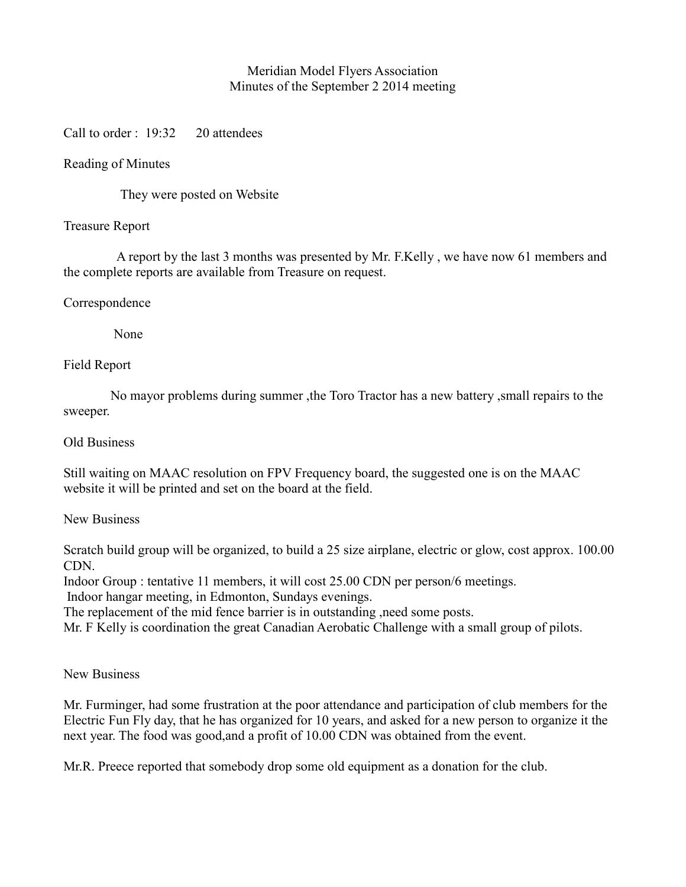# Meridian Model Flyers Association Minutes of the September 2 2014 meeting

Call to order : 19:32 20 attendees

## Reading of Minutes

They were posted on Website

#### Treasure Report

 A report by the last 3 months was presented by Mr. F.Kelly , we have now 61 members and the complete reports are available from Treasure on request.

### Correspondence

None

### Field Report

 No mayor problems during summer ,the Toro Tractor has a new battery ,small repairs to the sweeper.

#### Old Business

Still waiting on MAAC resolution on FPV Frequency board, the suggested one is on the MAAC website it will be printed and set on the board at the field.

#### New Business

Scratch build group will be organized, to build a 25 size airplane, electric or glow, cost approx. 100.00 CDN.

Indoor Group : tentative 11 members, it will cost 25.00 CDN per person/6 meetings.

Indoor hangar meeting, in Edmonton, Sundays evenings.

The replacement of the mid fence barrier is in outstanding ,need some posts.

Mr. F Kelly is coordination the great Canadian Aerobatic Challenge with a small group of pilots.

# New Business

Mr. Furminger, had some frustration at the poor attendance and participation of club members for the Electric Fun Fly day, that he has organized for 10 years, and asked for a new person to organize it the next year. The food was good,and a profit of 10.00 CDN was obtained from the event.

Mr.R. Preece reported that somebody drop some old equipment as a donation for the club.